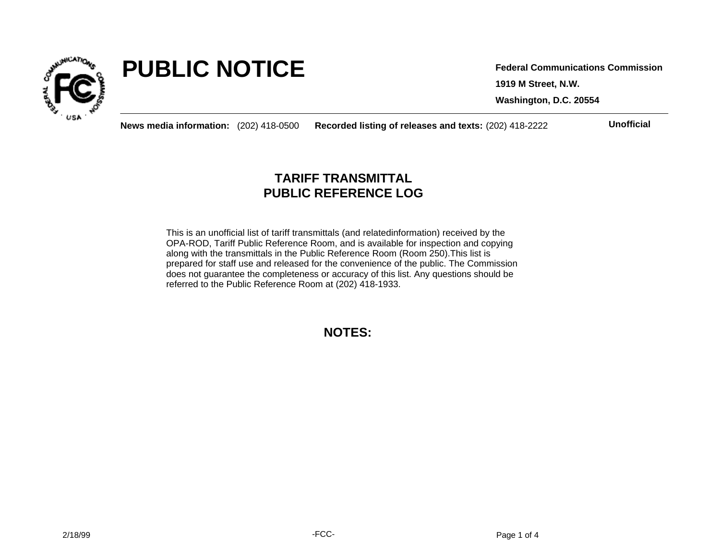

# **PUBLIC NOTICE**

**1919 M Street, N.W. Washington, D.C. 20554 Federal Communications Commission**

**News media information:** (202) 418-0500 **Recorded listing of releases and texts:** (202) 418-2222 **Unofficial**

## **TARIFF TRANSMITTAL PUBLIC REFERENCE LOG**

This is an unofficial list of tariff transmittals (and relatedinformation) received by the OPA-ROD, Tariff Public Reference Room, and is available for inspection and copying along with the transmittals in the Public Reference Room (Room 250).This list is prepared for staff use and released for the convenience of the public. The Commission does not guarantee the completeness or accuracy of this list. Any questions should be referred to the Public Reference Room at (202) 418-1933.

**NOTES:**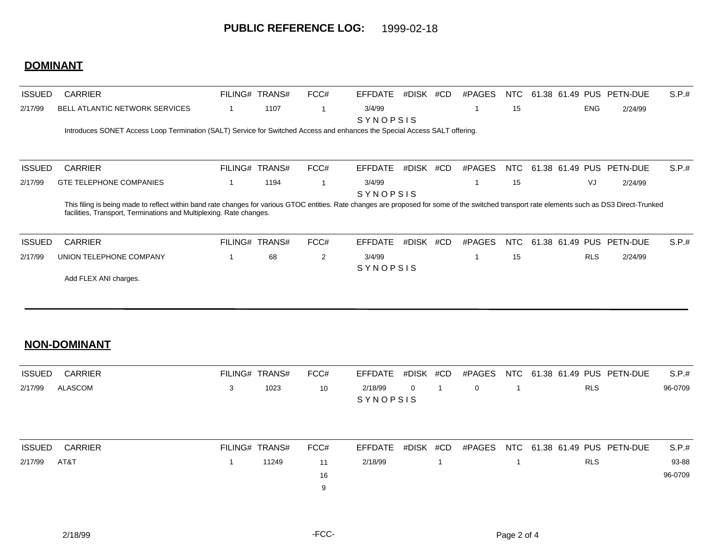## **DOMINANT**

| <b>ISSUED</b> | <b>CARRIER</b>                                                                                                                                                                                                                                                        | FILING# TRANS# | FCC# | <b>EFFDATE</b>     | #DISK | #CD | #PAGES | NTC. |                 |            | 61.38 61.49 PUS PETN-DUE | S.P.t. |
|---------------|-----------------------------------------------------------------------------------------------------------------------------------------------------------------------------------------------------------------------------------------------------------------------|----------------|------|--------------------|-------|-----|--------|------|-----------------|------------|--------------------------|--------|
| 2/17/99       | <b>BELL ATLANTIC NETWORK SERVICES</b>                                                                                                                                                                                                                                 | 1107           |      | 3/4/99<br>SYNOPSIS |       |     |        | 15   |                 | ENG        | 2/24/99                  |        |
|               | Introduces SONET Access Loop Termination (SALT) Service for Switched Access and enhances the Special Access SALT offering.                                                                                                                                            |                |      |                    |       |     |        |      |                 |            |                          |        |
| <b>ISSUED</b> | <b>CARRIER</b>                                                                                                                                                                                                                                                        | FILING# TRANS# | FCC# | <b>EFFDATE</b>     | #DISK | #CD | #PAGES | NTC. | 61.38 61.49 PUS |            | PETN-DUE                 | S.P.t. |
| 2/17/99       | <b>GTE TELEPHONE COMPANIES</b>                                                                                                                                                                                                                                        | 1194           |      | 3/4/99<br>SYNOPSIS |       |     |        | 15   |                 | VJ         | 2/24/99                  |        |
|               | This filing is being made to reflect within band rate changes for various GTOC entities. Rate changes are proposed for some of the switched transport rate elements such as DS3 Direct-Trunked<br>facilities, Transport, Terminations and Multiplexing. Rate changes. |                |      |                    |       |     |        |      |                 |            |                          |        |
| <b>ISSUED</b> | <b>CARRIER</b>                                                                                                                                                                                                                                                        | FILING# TRANS# | FCC# | <b>EFFDATE</b>     | #DISK | #CD | #PAGES | NTC. |                 |            | 61.38 61.49 PUS PETN-DUE | S.P.t. |
| 2/17/99       | UNION TELEPHONE COMPANY                                                                                                                                                                                                                                               | 68             | 2    | 3/4/99<br>SYNOPSIS |       |     |        | 15   |                 | <b>RLS</b> | 2/24/99                  |        |
|               | Add FLEX ANI charges.                                                                                                                                                                                                                                                 |                |      |                    |       |     |        |      |                 |            |                          |        |

#### **NON-DOMINANT**

| <b>ISSUED</b> | <b>CARRIER</b> |   | FILING# TRANS# | FCC# | EFFDATE             | #DISK #CD | #PAGES      |  |            | NTC 61.38 61.49 PUS PETN-DUE | S.P.#   |
|---------------|----------------|---|----------------|------|---------------------|-----------|-------------|--|------------|------------------------------|---------|
| 2/17/99       | ALASCOM        | 3 | 1023           | 10   | 2/18/99<br>SYNOPSIS | $\Omega$  | $\mathbf 0$ |  | <b>RLS</b> |                              | 96-0709 |
| <b>ISSUED</b> | <b>CARRIER</b> |   | FILING# TRANS# | FCC# | EFFDATE             | #DISK #CD | #PAGES      |  |            | NTC 61.38 61.49 PUS PETN-DUE | S.P.#   |
| 2/17/99       | AT&T           |   | 11249          | 11   | 2/18/99             |           |             |  | <b>RLS</b> |                              | 93-88   |
|               |                |   |                | 16   |                     |           |             |  |            |                              | 96-0709 |
|               |                |   |                | 9    |                     |           |             |  |            |                              |         |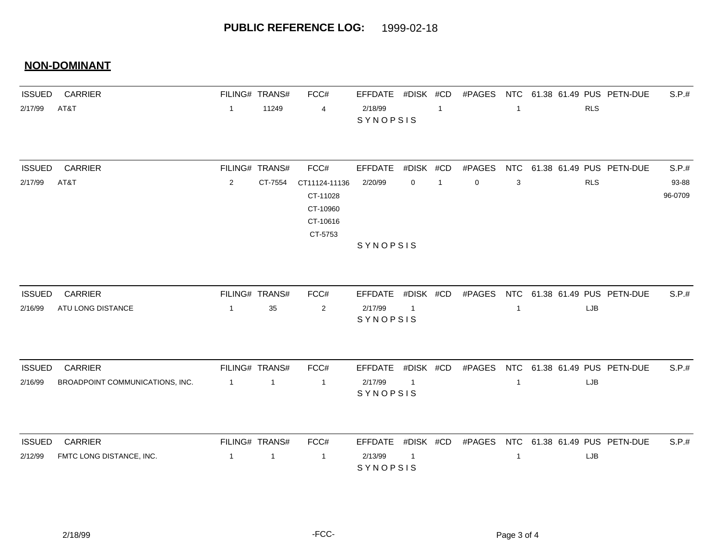## **NON-DOMINANT**

| <b>ISSUED</b> | <b>CARRIER</b>                  |                | FILING# TRANS# | FCC#           | <b>EFFDATE</b>      | #DISK #CD      |                | #PAGES      | NTC          |  |            | 61.38 61.49 PUS PETN-DUE     | S.P.#   |
|---------------|---------------------------------|----------------|----------------|----------------|---------------------|----------------|----------------|-------------|--------------|--|------------|------------------------------|---------|
| 2/17/99       | AT&T                            | $\overline{1}$ | 11249          | 4              | 2/18/99<br>SYNOPSIS |                | -1             |             | 1            |  | <b>RLS</b> |                              |         |
| <b>ISSUED</b> | <b>CARRIER</b>                  |                | FILING# TRANS# | FCC#           | <b>EFFDATE</b>      | #DISK #CD      |                | #PAGES      | <b>NTC</b>   |  |            | 61.38 61.49 PUS PETN-DUE     | S.P.#   |
| 2/17/99       | AT&T                            | $\sqrt{2}$     | CT-7554        | CT11124-11136  | 2/20/99             | $\mathbf 0$    | $\overline{1}$ | $\mathbf 0$ |              |  | <b>RLS</b> |                              | 93-88   |
|               |                                 |                |                | CT-11028       |                     |                |                |             | 3            |  |            |                              | 96-0709 |
|               |                                 |                |                | CT-10960       |                     |                |                |             |              |  |            |                              |         |
|               |                                 |                |                | CT-10616       |                     |                |                |             |              |  |            |                              |         |
|               |                                 |                |                | CT-5753        |                     |                |                |             |              |  |            |                              |         |
|               |                                 |                |                |                | SYNOPSIS            |                |                |             |              |  |            |                              |         |
|               |                                 |                |                |                |                     |                |                |             |              |  |            |                              |         |
| <b>ISSUED</b> | <b>CARRIER</b>                  |                | FILING# TRANS# | FCC#           | <b>EFFDATE</b>      | #DISK #CD      |                | #PAGES      |              |  |            | NTC 61.38 61.49 PUS PETN-DUE | S.P.#   |
| 2/16/99       | ATU LONG DISTANCE               | $\overline{1}$ | 35             | $\overline{2}$ | 2/17/99             | $\overline{1}$ |                |             | $\mathbf{1}$ |  | LJB        |                              |         |
|               |                                 |                |                |                | SYNOPSIS            |                |                |             |              |  |            |                              |         |
| <b>ISSUED</b> | <b>CARRIER</b>                  |                | FILING# TRANS# | FCC#           | <b>EFFDATE</b>      | #DISK #CD      |                | #PAGES      | <b>NTC</b>   |  |            | 61.38 61.49 PUS PETN-DUE     | S.P.#   |
| 2/16/99       | BROADPOINT COMMUNICATIONS, INC. | $\overline{1}$ | $\mathbf{1}$   | $\overline{1}$ | 2/17/99             | $\overline{1}$ |                |             | $\mathbf{1}$ |  | LJB        |                              |         |
|               |                                 |                |                |                | SYNOPSIS            |                |                |             |              |  |            |                              |         |
|               |                                 |                |                |                |                     |                |                |             |              |  |            |                              |         |
| <b>ISSUED</b> | CARRIER                         |                | FILING# TRANS# | FCC#           | <b>EFFDATE</b>      | #DISK #CD      |                | #PAGES      | <b>NTC</b>   |  |            | 61.38 61.49 PUS PETN-DUE     | S.P.#   |
| 2/12/99       | FMTC LONG DISTANCE, INC.        | $\overline{1}$ | 1              | $\overline{1}$ | 2/13/99<br>SYNOPSIS | $\overline{1}$ |                |             | $\mathbf 1$  |  | LJB        |                              |         |